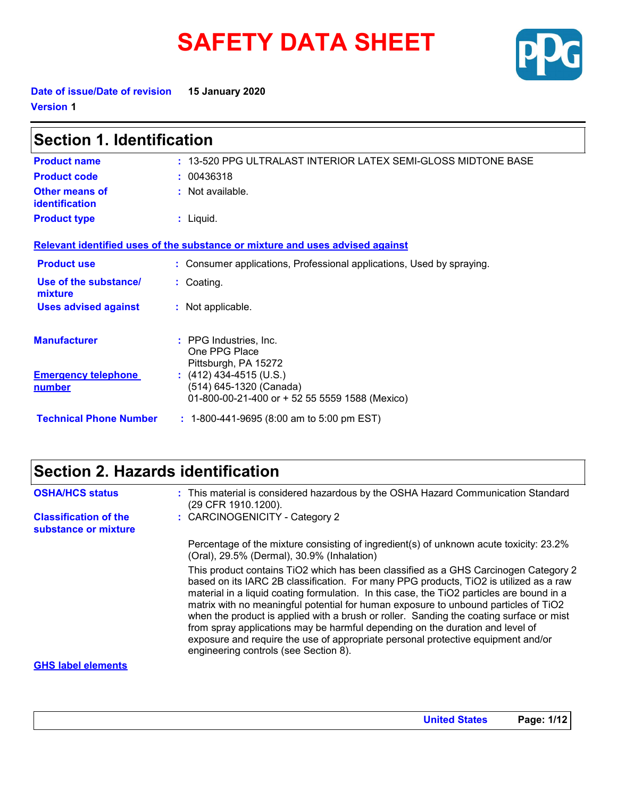# **SAFETY DATA SHEET**



**Date of issue/Date of revision 15 January 2020 Version 1**

| Section 1. Identification                   |                                                                                                      |  |
|---------------------------------------------|------------------------------------------------------------------------------------------------------|--|
| <b>Product name</b>                         | : 13-520 PPG ULTRALAST INTERIOR LATEX SEMI-GLOSS MIDTONE BASE                                        |  |
| <b>Product code</b>                         | : 00436318                                                                                           |  |
| <b>Other means of</b><br>identification     | : Not available.                                                                                     |  |
| <b>Product type</b>                         | $:$ Liquid.                                                                                          |  |
|                                             | Relevant identified uses of the substance or mixture and uses advised against                        |  |
| <b>Product use</b>                          | : Consumer applications, Professional applications, Used by spraying.                                |  |
| Use of the substance/<br>mixture            | : Coating.                                                                                           |  |
| <b>Uses advised against</b>                 | : Not applicable.                                                                                    |  |
| <b>Manufacturer</b>                         | : PPG Industries, Inc.<br>One PPG Place<br>Pittsburgh, PA 15272                                      |  |
| <b>Emergency telephone</b><br><u>number</u> | $(412)$ 434-4515 (U.S.)<br>(514) 645-1320 (Canada)<br>01-800-00-21-400 or + 52 55 5559 1588 (Mexico) |  |
| <b>Technical Phone Number</b>               | $: 1-800-441-9695 (8:00 am to 5:00 pm EST)$                                                          |  |

# **Section 2. Hazards identification**

| <b>OSHA/HCS status</b>                               | : This material is considered hazardous by the OSHA Hazard Communication Standard<br>(29 CFR 1910.1200).                                                                                                                                                                                                                                                                                                                                                                                                                                                                                                                                                                  |
|------------------------------------------------------|---------------------------------------------------------------------------------------------------------------------------------------------------------------------------------------------------------------------------------------------------------------------------------------------------------------------------------------------------------------------------------------------------------------------------------------------------------------------------------------------------------------------------------------------------------------------------------------------------------------------------------------------------------------------------|
| <b>Classification of the</b><br>substance or mixture | : CARCINOGENICITY - Category 2                                                                                                                                                                                                                                                                                                                                                                                                                                                                                                                                                                                                                                            |
|                                                      | Percentage of the mixture consisting of ingredient(s) of unknown acute toxicity: 23.2%<br>(Oral), 29.5% (Dermal), 30.9% (Inhalation)                                                                                                                                                                                                                                                                                                                                                                                                                                                                                                                                      |
|                                                      | This product contains TiO2 which has been classified as a GHS Carcinogen Category 2<br>based on its IARC 2B classification. For many PPG products, TiO2 is utilized as a raw<br>material in a liquid coating formulation. In this case, the TiO2 particles are bound in a<br>matrix with no meaningful potential for human exposure to unbound particles of TiO2<br>when the product is applied with a brush or roller. Sanding the coating surface or mist<br>from spray applications may be harmful depending on the duration and level of<br>exposure and require the use of appropriate personal protective equipment and/or<br>engineering controls (see Section 8). |
| <b>GHS label elements</b>                            |                                                                                                                                                                                                                                                                                                                                                                                                                                                                                                                                                                                                                                                                           |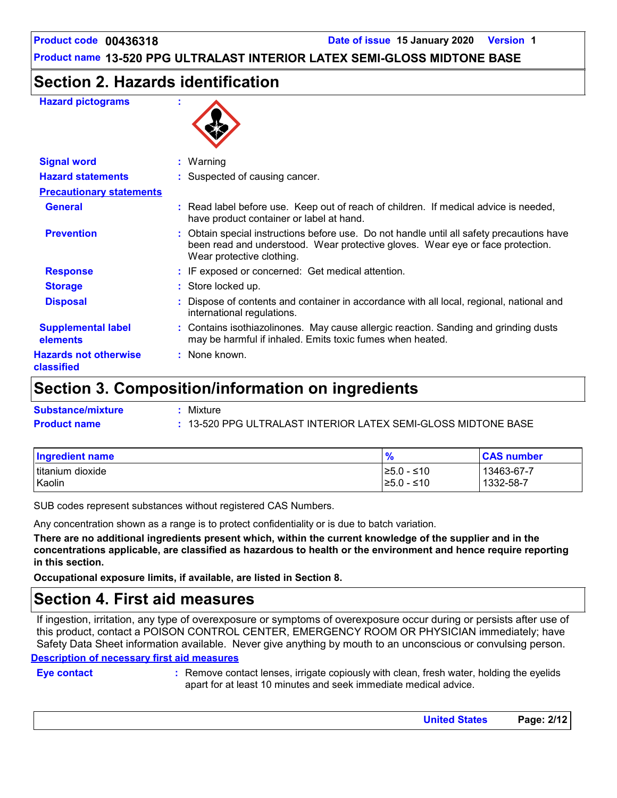### **Section 2. Hazards identification**

#### **Hazard pictograms :**



| <b>Signal word</b>                         | : Warning                                                                                                                                                                                                |  |
|--------------------------------------------|----------------------------------------------------------------------------------------------------------------------------------------------------------------------------------------------------------|--|
| <b>Hazard statements</b>                   | : Suspected of causing cancer.                                                                                                                                                                           |  |
| <b>Precautionary statements</b>            |                                                                                                                                                                                                          |  |
| <b>General</b>                             | : Read label before use. Keep out of reach of children. If medical advice is needed,<br>have product container or label at hand.                                                                         |  |
| <b>Prevention</b>                          | : Obtain special instructions before use. Do not handle until all safety precautions have<br>been read and understood. Wear protective gloves. Wear eye or face protection.<br>Wear protective clothing. |  |
| <b>Response</b>                            | : IF exposed or concerned: Get medical attention.                                                                                                                                                        |  |
| <b>Storage</b>                             | : Store locked up.                                                                                                                                                                                       |  |
| <b>Disposal</b>                            | Dispose of contents and container in accordance with all local, regional, national and<br>international regulations.                                                                                     |  |
| <b>Supplemental label</b><br>elements      | : Contains isothiazolinones. May cause allergic reaction. Sanding and grinding dusts<br>may be harmful if inhaled. Emits toxic fumes when heated.                                                        |  |
| <b>Hazards not otherwise</b><br>classified | : None known.                                                                                                                                                                                            |  |

### **Section 3. Composition/information on ingredients**

| <b>Substance/mixture</b> | Mixture                                                       |
|--------------------------|---------------------------------------------------------------|
| <b>Product name</b>      | : 13-520 PPG ULTRALAST INTERIOR LATEX SEMI-GLOSS MIDTONE BASE |

| Ingredient name  | $\frac{9}{6}$ | <b>CAS number</b> |
|------------------|---------------|-------------------|
| titanium dioxide | l≥5.0 - ≤10   | 13463-67-7        |
| Kaolin           | l≥5.0 - ≤10   | $1332 - 58 - 7$   |

SUB codes represent substances without registered CAS Numbers.

Any concentration shown as a range is to protect confidentiality or is due to batch variation.

**There are no additional ingredients present which, within the current knowledge of the supplier and in the concentrations applicable, are classified as hazardous to health or the environment and hence require reporting in this section.**

**Occupational exposure limits, if available, are listed in Section 8.**

### **Section 4. First aid measures**

**Description of necessary first aid measures** If ingestion, irritation, any type of overexposure or symptoms of overexposure occur during or persists after use of this product, contact a POISON CONTROL CENTER, EMERGENCY ROOM OR PHYSICIAN immediately; have Safety Data Sheet information available. Never give anything by mouth to an unconscious or convulsing person.

**Eye contact :**

Remove contact lenses, irrigate copiously with clean, fresh water, holding the eyelids apart for at least 10 minutes and seek immediate medical advice.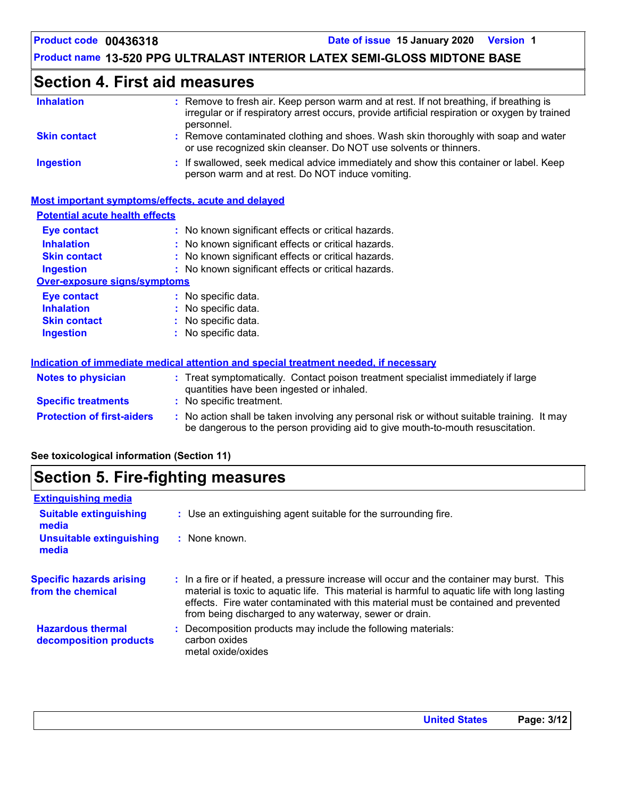# **Section 4. First aid measures**

| <b>Inhalation</b>   | : Remove to fresh air. Keep person warm and at rest. If not breathing, if breathing is<br>irregular or if respiratory arrest occurs, provide artificial respiration or oxygen by trained<br>personnel. |
|---------------------|--------------------------------------------------------------------------------------------------------------------------------------------------------------------------------------------------------|
| <b>Skin contact</b> | : Remove contaminated clothing and shoes. Wash skin thoroughly with soap and water<br>or use recognized skin cleanser. Do NOT use solvents or thinners.                                                |
| <b>Ingestion</b>    | : If swallowed, seek medical advice immediately and show this container or label. Keep<br>person warm and at rest. Do NOT induce vomiting.                                                             |

### **Most important symptoms/effects, acute and delayed**

| <b>Potential acute health effects</b> |                                                                                                                                                                               |
|---------------------------------------|-------------------------------------------------------------------------------------------------------------------------------------------------------------------------------|
| Eye contact                           | : No known significant effects or critical hazards.                                                                                                                           |
| <b>Inhalation</b>                     | No known significant effects or critical hazards.                                                                                                                             |
| <b>Skin contact</b>                   | No known significant effects or critical hazards.                                                                                                                             |
| <b>Ingestion</b>                      | : No known significant effects or critical hazards.                                                                                                                           |
| <b>Over-exposure signs/symptoms</b>   |                                                                                                                                                                               |
| <b>Eye contact</b>                    | : No specific data.                                                                                                                                                           |
| <b>Inhalation</b>                     | No specific data.                                                                                                                                                             |
| <b>Skin contact</b>                   | No specific data.                                                                                                                                                             |
| <b>Ingestion</b>                      | No specific data.                                                                                                                                                             |
|                                       | Indication of immediate medical attention and special treatment needed, if necessary                                                                                          |
| <b>Notes to physician</b>             | : Treat symptomatically. Contact poison treatment specialist immediately if large<br>quantities have been ingested or inhaled.                                                |
| <b>Specific treatments</b>            | No specific treatment.                                                                                                                                                        |
| <b>Protection of first-aiders</b>     | : No action shall be taken involving any personal risk or without suitable training. It may<br>be dangerous to the person providing aid to give mouth-to-mouth resuscitation. |

### **See toxicological information (Section 11)**

## **Section 5. Fire-fighting measures**

| <b>Extinguishing media</b>                           |                                                                                                                                                                                                                                                                                                                                              |
|------------------------------------------------------|----------------------------------------------------------------------------------------------------------------------------------------------------------------------------------------------------------------------------------------------------------------------------------------------------------------------------------------------|
| <b>Suitable extinguishing</b><br>media               | : Use an extinguishing agent suitable for the surrounding fire.                                                                                                                                                                                                                                                                              |
| <b>Unsuitable extinguishing</b><br>media             | : None known.                                                                                                                                                                                                                                                                                                                                |
| <b>Specific hazards arising</b><br>from the chemical | : In a fire or if heated, a pressure increase will occur and the container may burst. This<br>material is toxic to aquatic life. This material is harmful to aquatic life with long lasting<br>effects. Fire water contaminated with this material must be contained and prevented<br>from being discharged to any waterway, sewer or drain. |
| <b>Hazardous thermal</b><br>decomposition products   | : Decomposition products may include the following materials:<br>carbon oxides<br>metal oxide/oxides                                                                                                                                                                                                                                         |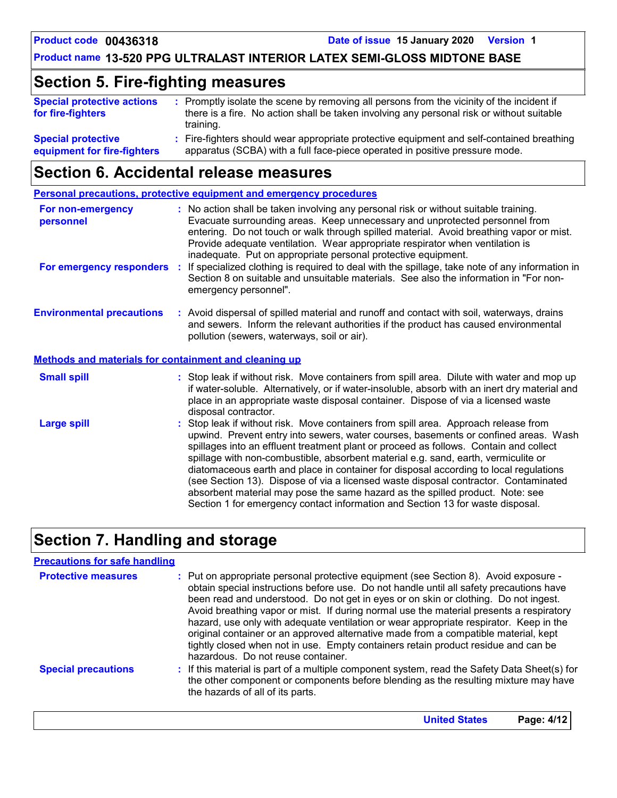# **Section 5. Fire-fighting measures**

| <b>Special protective actions</b><br>for fire-fighters   | : Promptly isolate the scene by removing all persons from the vicinity of the incident if<br>there is a fire. No action shall be taken involving any personal risk or without suitable<br>training. |
|----------------------------------------------------------|-----------------------------------------------------------------------------------------------------------------------------------------------------------------------------------------------------|
| <b>Special protective</b><br>equipment for fire-fighters | : Fire-fighters should wear appropriate protective equipment and self-contained breathing<br>apparatus (SCBA) with a full face-piece operated in positive pressure mode.                            |

### **Section 6. Accidental release measures**

|                                                              | Personal precautions, protective equipment and emergency procedures                                                                                                                                                                                                                                                                                                                                                                                                                                                                                                                                                                                                                                          |
|--------------------------------------------------------------|--------------------------------------------------------------------------------------------------------------------------------------------------------------------------------------------------------------------------------------------------------------------------------------------------------------------------------------------------------------------------------------------------------------------------------------------------------------------------------------------------------------------------------------------------------------------------------------------------------------------------------------------------------------------------------------------------------------|
| For non-emergency<br>personnel                               | : No action shall be taken involving any personal risk or without suitable training.<br>Evacuate surrounding areas. Keep unnecessary and unprotected personnel from<br>entering. Do not touch or walk through spilled material. Avoid breathing vapor or mist.<br>Provide adequate ventilation. Wear appropriate respirator when ventilation is<br>inadequate. Put on appropriate personal protective equipment.                                                                                                                                                                                                                                                                                             |
| For emergency responders                                     | If specialized clothing is required to deal with the spillage, take note of any information in<br>÷.<br>Section 8 on suitable and unsuitable materials. See also the information in "For non-<br>emergency personnel".                                                                                                                                                                                                                                                                                                                                                                                                                                                                                       |
| <b>Environmental precautions</b>                             | : Avoid dispersal of spilled material and runoff and contact with soil, waterways, drains<br>and sewers. Inform the relevant authorities if the product has caused environmental<br>pollution (sewers, waterways, soil or air).                                                                                                                                                                                                                                                                                                                                                                                                                                                                              |
| <b>Methods and materials for containment and cleaning up</b> |                                                                                                                                                                                                                                                                                                                                                                                                                                                                                                                                                                                                                                                                                                              |
| <b>Small spill</b>                                           | : Stop leak if without risk. Move containers from spill area. Dilute with water and mop up<br>if water-soluble. Alternatively, or if water-insoluble, absorb with an inert dry material and<br>place in an appropriate waste disposal container. Dispose of via a licensed waste<br>disposal contractor.                                                                                                                                                                                                                                                                                                                                                                                                     |
| <b>Large spill</b>                                           | : Stop leak if without risk. Move containers from spill area. Approach release from<br>upwind. Prevent entry into sewers, water courses, basements or confined areas. Wash<br>spillages into an effluent treatment plant or proceed as follows. Contain and collect<br>spillage with non-combustible, absorbent material e.g. sand, earth, vermiculite or<br>diatomaceous earth and place in container for disposal according to local regulations<br>(see Section 13). Dispose of via a licensed waste disposal contractor. Contaminated<br>absorbent material may pose the same hazard as the spilled product. Note: see<br>Section 1 for emergency contact information and Section 13 for waste disposal. |

# **Section 7. Handling and storage**

| <b>Precautions for safe handling</b> |                                                                                                                                                                                                                                                                                                                                                                                                                                                                                                                                                                                                                                                                                |
|--------------------------------------|--------------------------------------------------------------------------------------------------------------------------------------------------------------------------------------------------------------------------------------------------------------------------------------------------------------------------------------------------------------------------------------------------------------------------------------------------------------------------------------------------------------------------------------------------------------------------------------------------------------------------------------------------------------------------------|
| <b>Protective measures</b>           | : Put on appropriate personal protective equipment (see Section 8). Avoid exposure -<br>obtain special instructions before use. Do not handle until all safety precautions have<br>been read and understood. Do not get in eyes or on skin or clothing. Do not ingest.<br>Avoid breathing vapor or mist. If during normal use the material presents a respiratory<br>hazard, use only with adequate ventilation or wear appropriate respirator. Keep in the<br>original container or an approved alternative made from a compatible material, kept<br>tightly closed when not in use. Empty containers retain product residue and can be<br>hazardous. Do not reuse container. |
| <b>Special precautions</b>           | : If this material is part of a multiple component system, read the Safety Data Sheet(s) for<br>the other component or components before blending as the resulting mixture may have<br>the hazards of all of its parts.                                                                                                                                                                                                                                                                                                                                                                                                                                                        |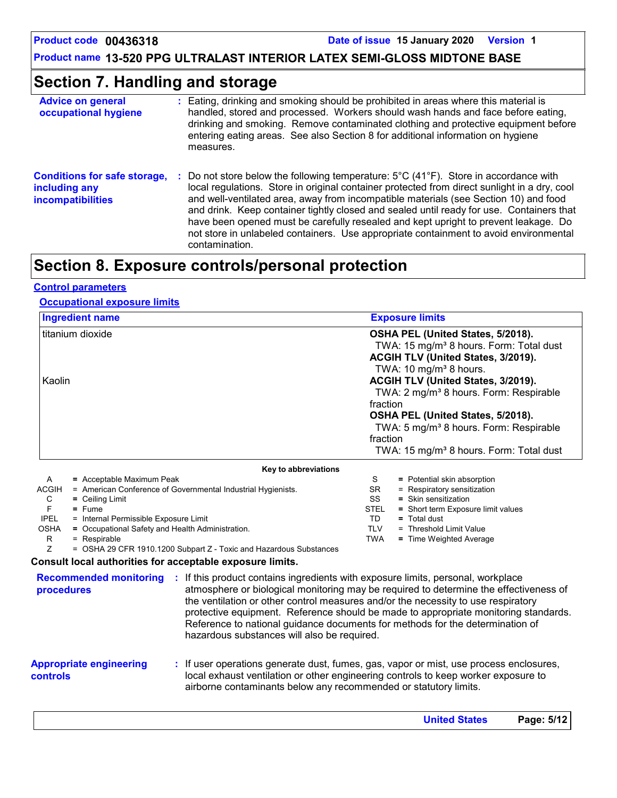**Product code 00436318 Date of issue 15 January 2020 Version 1**

**Product name 13-520 PPG ULTRALAST INTERIOR LATEX SEMI-GLOSS MIDTONE BASE**

# **Section 7. Handling and storage**

| <b>Advice on general</b><br>occupational hygiene                                 | Eating, drinking and smoking should be prohibited in areas where this material is<br>handled, stored and processed. Workers should wash hands and face before eating,<br>drinking and smoking. Remove contaminated clothing and protective equipment before<br>entering eating areas. See also Section 8 for additional information on hygiene<br>measures.                                                                                                                                                                                                                                          |
|----------------------------------------------------------------------------------|------------------------------------------------------------------------------------------------------------------------------------------------------------------------------------------------------------------------------------------------------------------------------------------------------------------------------------------------------------------------------------------------------------------------------------------------------------------------------------------------------------------------------------------------------------------------------------------------------|
| <b>Conditions for safe storage,</b><br>including any<br><b>incompatibilities</b> | Do not store below the following temperature: $5^{\circ}$ C (41 <sup>o</sup> F). Store in accordance with<br>÷<br>local regulations. Store in original container protected from direct sunlight in a dry, cool<br>and well-ventilated area, away from incompatible materials (see Section 10) and food<br>and drink. Keep container tightly closed and sealed until ready for use. Containers that<br>have been opened must be carefully resealed and kept upright to prevent leakage. Do<br>not store in unlabeled containers. Use appropriate containment to avoid environmental<br>contamination. |

# **Section 8. Exposure controls/personal protection**

#### **Control parameters**

### **Occupational exposure limits**

| <b>Ingredient name</b>                                                                                                                                                                                                                                                                                                                                                                                                                            | <b>Exposure limits</b>                                                                                                                                                                                                                                                                                                                                                                                                                     |  |  |
|---------------------------------------------------------------------------------------------------------------------------------------------------------------------------------------------------------------------------------------------------------------------------------------------------------------------------------------------------------------------------------------------------------------------------------------------------|--------------------------------------------------------------------------------------------------------------------------------------------------------------------------------------------------------------------------------------------------------------------------------------------------------------------------------------------------------------------------------------------------------------------------------------------|--|--|
| titanium dioxide<br>Kaolin                                                                                                                                                                                                                                                                                                                                                                                                                        | OSHA PEL (United States, 5/2018).<br>TWA: 15 mg/m <sup>3</sup> 8 hours. Form: Total dust<br>ACGIH TLV (United States, 3/2019).<br>TWA: 10 mg/m <sup>3</sup> 8 hours.<br>ACGIH TLV (United States, 3/2019).<br>TWA: 2 mg/m <sup>3</sup> 8 hours. Form: Respirable<br>fraction<br>OSHA PEL (United States, 5/2018).<br>TWA: 5 mg/m <sup>3</sup> 8 hours. Form: Respirable<br>fraction<br>TWA: 15 mg/m <sup>3</sup> 8 hours. Form: Total dust |  |  |
| Key to abbreviations                                                                                                                                                                                                                                                                                                                                                                                                                              |                                                                                                                                                                                                                                                                                                                                                                                                                                            |  |  |
| Α<br>= Acceptable Maximum Peak<br><b>ACGIH</b><br>= American Conference of Governmental Industrial Hygienists.<br>C<br>$=$ Ceiling Limit<br>F<br>$=$ Fume<br><b>IPEL</b><br>= Internal Permissible Exposure Limit<br><b>OSHA</b><br>= Occupational Safety and Health Administration.<br>R<br>= Respirable<br>Z<br>= OSHA 29 CFR 1910.1200 Subpart Z - Toxic and Hazardous Substances<br>Consult local authorities for acceptable exposure limits. | S<br>= Potential skin absorption<br><b>SR</b><br>= Respiratory sensitization<br>SS<br>$=$ Skin sensitization<br><b>STEL</b><br>= Short term Exposure limit values<br><b>TD</b><br>$=$ Total dust<br><b>TLV</b><br>= Threshold Limit Value<br><b>TWA</b><br>= Time Weighted Average                                                                                                                                                         |  |  |
| <b>Recommended monitoring</b><br>$\sim 10$<br>procedures<br>hazardous substances will also be required.                                                                                                                                                                                                                                                                                                                                           | If this product contains ingredients with exposure limits, personal, workplace<br>atmosphere or biological monitoring may be required to determine the effectiveness of<br>the ventilation or other control measures and/or the necessity to use respiratory<br>protective equipment. Reference should be made to appropriate monitoring standards.<br>Reference to national guidance documents for methods for the determination of       |  |  |
| <b>Appropriate engineering</b><br>controls                                                                                                                                                                                                                                                                                                                                                                                                        | If user operations generate dust, fumes, gas, vapor or mist, use process enclosures,<br>local exhaust ventilation or other engineering controls to keep worker exposure to<br>airborne contaminants below any recommended or statutory limits.                                                                                                                                                                                             |  |  |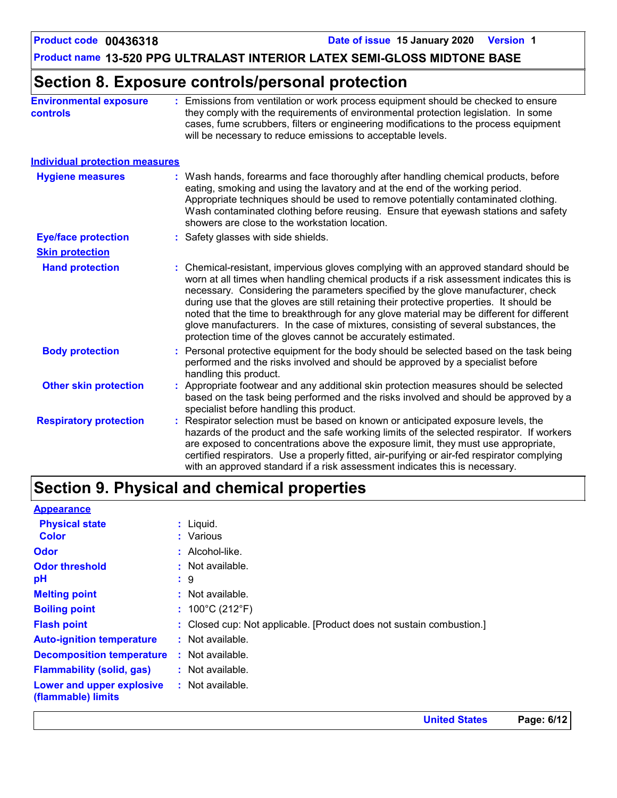# **Section 8. Exposure controls/personal protection**

| <b>Environmental exposure</b><br><b>controls</b> | Emissions from ventilation or work process equipment should be checked to ensure<br>they comply with the requirements of environmental protection legislation. In some<br>cases, fume scrubbers, filters or engineering modifications to the process equipment<br>will be necessary to reduce emissions to acceptable levels.                                                                                                                                                                                                                                                                                          |
|--------------------------------------------------|------------------------------------------------------------------------------------------------------------------------------------------------------------------------------------------------------------------------------------------------------------------------------------------------------------------------------------------------------------------------------------------------------------------------------------------------------------------------------------------------------------------------------------------------------------------------------------------------------------------------|
| <b>Individual protection measures</b>            |                                                                                                                                                                                                                                                                                                                                                                                                                                                                                                                                                                                                                        |
| <b>Hygiene measures</b>                          | Wash hands, forearms and face thoroughly after handling chemical products, before<br>eating, smoking and using the lavatory and at the end of the working period.<br>Appropriate techniques should be used to remove potentially contaminated clothing.<br>Wash contaminated clothing before reusing. Ensure that eyewash stations and safety<br>showers are close to the workstation location.                                                                                                                                                                                                                        |
| <b>Eye/face protection</b>                       | : Safety glasses with side shields.                                                                                                                                                                                                                                                                                                                                                                                                                                                                                                                                                                                    |
| <b>Skin protection</b>                           |                                                                                                                                                                                                                                                                                                                                                                                                                                                                                                                                                                                                                        |
| <b>Hand protection</b>                           | : Chemical-resistant, impervious gloves complying with an approved standard should be<br>worn at all times when handling chemical products if a risk assessment indicates this is<br>necessary. Considering the parameters specified by the glove manufacturer, check<br>during use that the gloves are still retaining their protective properties. It should be<br>noted that the time to breakthrough for any glove material may be different for different<br>glove manufacturers. In the case of mixtures, consisting of several substances, the<br>protection time of the gloves cannot be accurately estimated. |
| <b>Body protection</b>                           | Personal protective equipment for the body should be selected based on the task being<br>performed and the risks involved and should be approved by a specialist before<br>handling this product.                                                                                                                                                                                                                                                                                                                                                                                                                      |
| <b>Other skin protection</b>                     | Appropriate footwear and any additional skin protection measures should be selected<br>based on the task being performed and the risks involved and should be approved by a<br>specialist before handling this product.                                                                                                                                                                                                                                                                                                                                                                                                |
| <b>Respiratory protection</b>                    | Respirator selection must be based on known or anticipated exposure levels, the<br>hazards of the product and the safe working limits of the selected respirator. If workers<br>are exposed to concentrations above the exposure limit, they must use appropriate,<br>certified respirators. Use a properly fitted, air-purifying or air-fed respirator complying<br>with an approved standard if a risk assessment indicates this is necessary.                                                                                                                                                                       |

# **Section 9. Physical and chemical properties**

| $:$ Liquid.                                                          |
|----------------------------------------------------------------------|
| : Various                                                            |
| $:$ Alcohol-like.                                                    |
| $:$ Not available.                                                   |
| $\cdot$ 9                                                            |
| : Not available.                                                     |
| : $100^{\circ}$ C (212 $^{\circ}$ F)                                 |
| : Closed cup: Not applicable. [Product does not sustain combustion.] |
| : Not available.                                                     |
| : Not available.                                                     |
| : Not available.                                                     |
| : Not available.                                                     |
|                                                                      |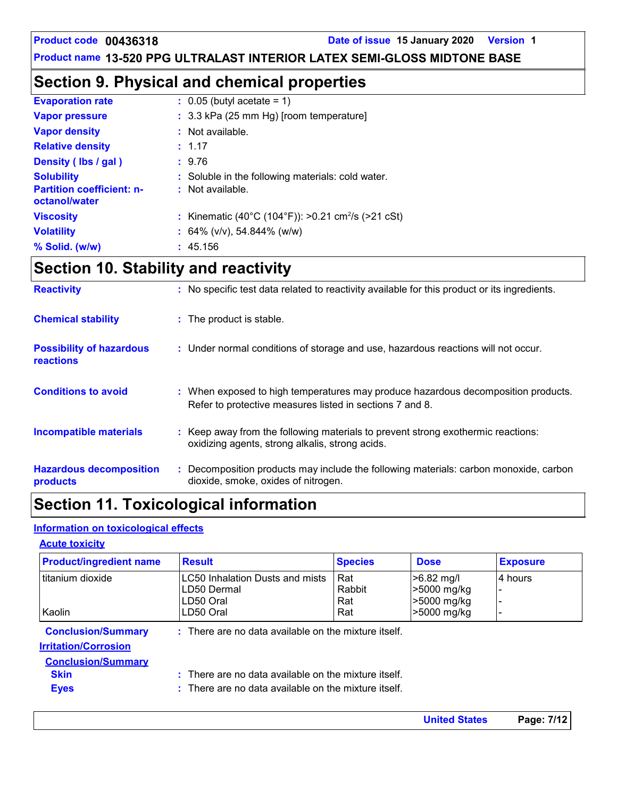### **Section 9. Physical and chemical properties**

| <b>Evaporation rate</b>                                                | $\therefore$ 0.05 (butyl acetate = 1)                                 |
|------------------------------------------------------------------------|-----------------------------------------------------------------------|
| <b>Vapor pressure</b>                                                  | : 3.3 kPa (25 mm Hg) [room temperature]                               |
| <b>Vapor density</b>                                                   | $:$ Not available.                                                    |
| <b>Relative density</b>                                                | : 1.17                                                                |
| Density (Ibs / gal)                                                    | : 9.76                                                                |
| <b>Solubility</b><br><b>Partition coefficient: n-</b><br>octanol/water | : Soluble in the following materials: cold water.<br>: Not available. |
| <b>Viscosity</b>                                                       | : Kinematic (40°C (104°F)): >0.21 cm <sup>2</sup> /s (>21 cSt)        |
| <b>Volatility</b>                                                      | : $64\%$ (v/v), 54.844% (w/w)                                         |
| % Solid. (w/w)                                                         | : 45.156                                                              |

# **Section 10. Stability and reactivity**

| <b>Hazardous decomposition</b><br>products   | : Decomposition products may include the following materials: carbon monoxide, carbon<br>dioxide, smoke, oxides of nitrogen.                  |
|----------------------------------------------|-----------------------------------------------------------------------------------------------------------------------------------------------|
| <b>Incompatible materials</b>                | : Keep away from the following materials to prevent strong exothermic reactions:<br>oxidizing agents, strong alkalis, strong acids.           |
| <b>Conditions to avoid</b>                   | : When exposed to high temperatures may produce hazardous decomposition products.<br>Refer to protective measures listed in sections 7 and 8. |
| <b>Possibility of hazardous</b><br>reactions | : Under normal conditions of storage and use, hazardous reactions will not occur.                                                             |
| <b>Chemical stability</b>                    | : The product is stable.                                                                                                                      |
| <b>Reactivity</b>                            | : No specific test data related to reactivity available for this product or its ingredients.                                                  |

# **Section 11. Toxicological information**

### **Information on toxicological effects**

#### **Acute toxicity**

| <b>Product/ingredient name</b> | <b>Result</b>                                                   | <b>Species</b> | <b>Dose</b>  | <b>Exposure</b> |
|--------------------------------|-----------------------------------------------------------------|----------------|--------------|-----------------|
| titanium dioxide               | LC50 Inhalation Dusts and mists                                 | Rat            | $>6.82$ mg/l | 4 hours         |
|                                | LD50 Dermal                                                     | Rabbit         | >5000 mg/kg  |                 |
|                                | LD50 Oral                                                       | Rat            | >5000 mg/kg  |                 |
| Kaolin                         | LD50 Oral                                                       | Rat            | >5000 mg/kg  |                 |
| <b>Conclusion/Summary</b>      | : There are no data available on the mixture itself.            |                |              |                 |
| <b>Irritation/Corrosion</b>    |                                                                 |                |              |                 |
| <b>Conclusion/Summary</b>      |                                                                 |                |              |                 |
| <b>Skin</b>                    | $\therefore$ There are no data available on the mixture itself. |                |              |                 |
| <b>Eyes</b>                    | $\pm$ There are no data available on the mixture itself.        |                |              |                 |

| <b>United States</b> | Page: 7/12 |
|----------------------|------------|
|                      |            |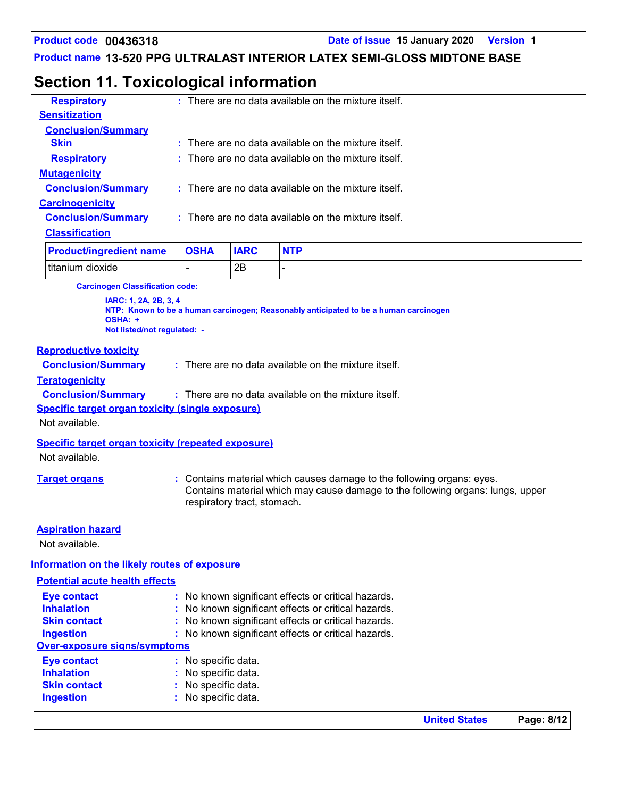**Product code 00436318 Date of issue 15 January 2020 Version 1**

**Product name 13-520 PPG ULTRALAST INTERIOR LATEX SEMI-GLOSS MIDTONE BASE**

# **Section 11. Toxicological information**

| <b>Respiratory</b>        | $:$ There are no data available on the mixture itself.   |
|---------------------------|----------------------------------------------------------|
| <b>Sensitization</b>      |                                                          |
| <b>Conclusion/Summary</b> |                                                          |
| <b>Skin</b>               | $\pm$ There are no data available on the mixture itself. |
| <b>Respiratory</b>        | $\pm$ There are no data available on the mixture itself. |
| <b>Mutagenicity</b>       |                                                          |
| <b>Conclusion/Summary</b> | $:$ There are no data available on the mixture itself.   |
| <b>Carcinogenicity</b>    |                                                          |
| <b>Conclusion/Summary</b> | : There are no data available on the mixture itself.     |
| <b>Classification</b>     |                                                          |
|                           |                                                          |

| <b>Product/ingredient name</b> | <b>OSHA</b> | <b>IARC</b> | <b>NTP</b> |
|--------------------------------|-------------|-------------|------------|
| titanium dioxide               |             | 2Β          |            |

**Carcinogen Classification code:**

**IARC: 1, 2A, 2B, 3, 4 NTP: Known to be a human carcinogen; Reasonably anticipated to be a human carcinogen OSHA: + Not listed/not regulated: -**

#### **Reproductive toxicity**

**Conclusion/Summary :** There are no data available on the mixture itself.

#### **Teratogenicity**

**Conclusion/Summary :** : There are no data available on the mixture itself.

**Specific target organ toxicity (single exposure)**

Not available.

#### **Specific target organ toxicity (repeated exposure)**

Not available.

**Target organs :** Contains material which causes damage to the following organs: eyes. Contains material which may cause damage to the following organs: lungs, upper respiratory tract, stomach.

#### **Aspiration hazard**

Not available.

#### **Information on the likely routes of exposure**

#### **Potential acute health effects**

| <b>Eye contact</b>                  | : No known significant effects or critical hazards. |
|-------------------------------------|-----------------------------------------------------|
| <b>Inhalation</b>                   | : No known significant effects or critical hazards. |
| <b>Skin contact</b>                 | : No known significant effects or critical hazards. |
| <b>Ingestion</b>                    | : No known significant effects or critical hazards. |
| <b>Over-exposure signs/symptoms</b> |                                                     |
| <b>Eye contact</b>                  | : No specific data.                                 |
| <b>Inhalation</b>                   | : No specific data.                                 |
| <b>Skin contact</b>                 | : No specific data.                                 |
| <b>Ingestion</b>                    | : No specific data.                                 |
|                                     |                                                     |

**United States Page: 8/12**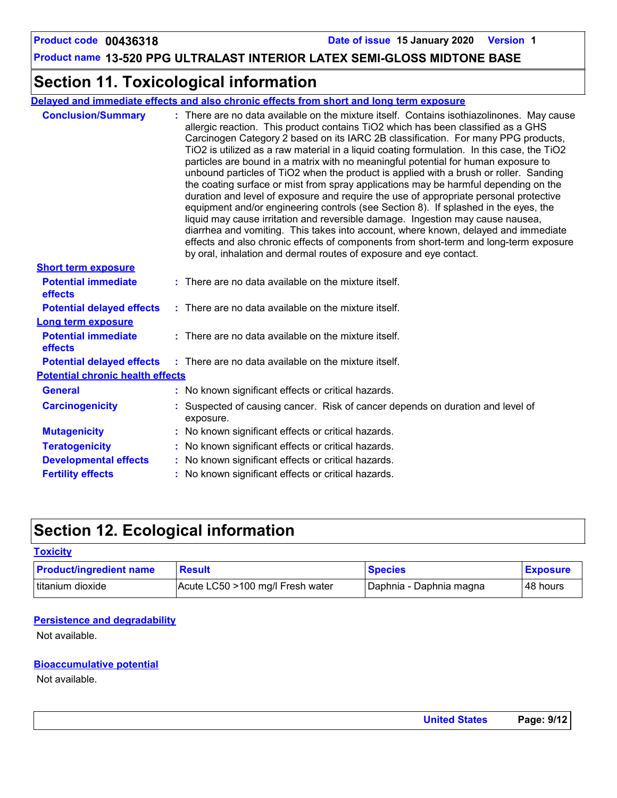### **Section 11. Toxicological information**

**Delayed and immediate effects and also chronic effects from short and long term exposure**

| <b>Conclusion/Summary</b>               | : There are no data available on the mixture itself. Contains isothiazolinones. May cause<br>allergic reaction. This product contains TiO2 which has been classified as a GHS<br>Carcinogen Category 2 based on its IARC 2B classification. For many PPG products,<br>TiO2 is utilized as a raw material in a liquid coating formulation. In this case, the TiO2<br>particles are bound in a matrix with no meaningful potential for human exposure to<br>unbound particles of TiO2 when the product is applied with a brush or roller. Sanding<br>the coating surface or mist from spray applications may be harmful depending on the<br>duration and level of exposure and require the use of appropriate personal protective<br>equipment and/or engineering controls (see Section 8). If splashed in the eyes, the<br>liquid may cause irritation and reversible damage. Ingestion may cause nausea,<br>diarrhea and vomiting. This takes into account, where known, delayed and immediate<br>effects and also chronic effects of components from short-term and long-term exposure<br>by oral, inhalation and dermal routes of exposure and eye contact. |
|-----------------------------------------|---------------------------------------------------------------------------------------------------------------------------------------------------------------------------------------------------------------------------------------------------------------------------------------------------------------------------------------------------------------------------------------------------------------------------------------------------------------------------------------------------------------------------------------------------------------------------------------------------------------------------------------------------------------------------------------------------------------------------------------------------------------------------------------------------------------------------------------------------------------------------------------------------------------------------------------------------------------------------------------------------------------------------------------------------------------------------------------------------------------------------------------------------------------|
| <b>Short term exposure</b>              |                                                                                                                                                                                                                                                                                                                                                                                                                                                                                                                                                                                                                                                                                                                                                                                                                                                                                                                                                                                                                                                                                                                                                               |
| <b>Potential immediate</b><br>effects   | : There are no data available on the mixture itself.                                                                                                                                                                                                                                                                                                                                                                                                                                                                                                                                                                                                                                                                                                                                                                                                                                                                                                                                                                                                                                                                                                          |
| <b>Potential delayed effects</b>        | : There are no data available on the mixture itself.                                                                                                                                                                                                                                                                                                                                                                                                                                                                                                                                                                                                                                                                                                                                                                                                                                                                                                                                                                                                                                                                                                          |
| Long term exposure                      |                                                                                                                                                                                                                                                                                                                                                                                                                                                                                                                                                                                                                                                                                                                                                                                                                                                                                                                                                                                                                                                                                                                                                               |
| <b>Potential immediate</b><br>effects   | $:$ There are no data available on the mixture itself.                                                                                                                                                                                                                                                                                                                                                                                                                                                                                                                                                                                                                                                                                                                                                                                                                                                                                                                                                                                                                                                                                                        |
| <b>Potential delayed effects</b>        | $:$ There are no data available on the mixture itself.                                                                                                                                                                                                                                                                                                                                                                                                                                                                                                                                                                                                                                                                                                                                                                                                                                                                                                                                                                                                                                                                                                        |
| <b>Potential chronic health effects</b> |                                                                                                                                                                                                                                                                                                                                                                                                                                                                                                                                                                                                                                                                                                                                                                                                                                                                                                                                                                                                                                                                                                                                                               |
| <b>General</b>                          | : No known significant effects or critical hazards.                                                                                                                                                                                                                                                                                                                                                                                                                                                                                                                                                                                                                                                                                                                                                                                                                                                                                                                                                                                                                                                                                                           |
| <b>Carcinogenicity</b>                  | Suspected of causing cancer. Risk of cancer depends on duration and level of<br>exposure.                                                                                                                                                                                                                                                                                                                                                                                                                                                                                                                                                                                                                                                                                                                                                                                                                                                                                                                                                                                                                                                                     |
| <b>Mutagenicity</b>                     | : No known significant effects or critical hazards.                                                                                                                                                                                                                                                                                                                                                                                                                                                                                                                                                                                                                                                                                                                                                                                                                                                                                                                                                                                                                                                                                                           |
| <b>Teratogenicity</b>                   | No known significant effects or critical hazards.                                                                                                                                                                                                                                                                                                                                                                                                                                                                                                                                                                                                                                                                                                                                                                                                                                                                                                                                                                                                                                                                                                             |
| <b>Developmental effects</b>            | : No known significant effects or critical hazards.                                                                                                                                                                                                                                                                                                                                                                                                                                                                                                                                                                                                                                                                                                                                                                                                                                                                                                                                                                                                                                                                                                           |
| <b>Fertility effects</b>                | : No known significant effects or critical hazards.                                                                                                                                                                                                                                                                                                                                                                                                                                                                                                                                                                                                                                                                                                                                                                                                                                                                                                                                                                                                                                                                                                           |

# **Section 12. Ecological information**

#### **Toxicity**

| <b>Product/ingredient name</b> | <b>Result</b>                    | <b>Species</b>            | <b>Exposure</b> |
|--------------------------------|----------------------------------|---------------------------|-----------------|
| titanium dioxide               | Acute LC50 >100 mg/l Fresh water | I Daphnia - Daphnia magna | 48 hours        |

#### **Persistence and degradability**

Not available.

#### **Bioaccumulative potential**

Not available.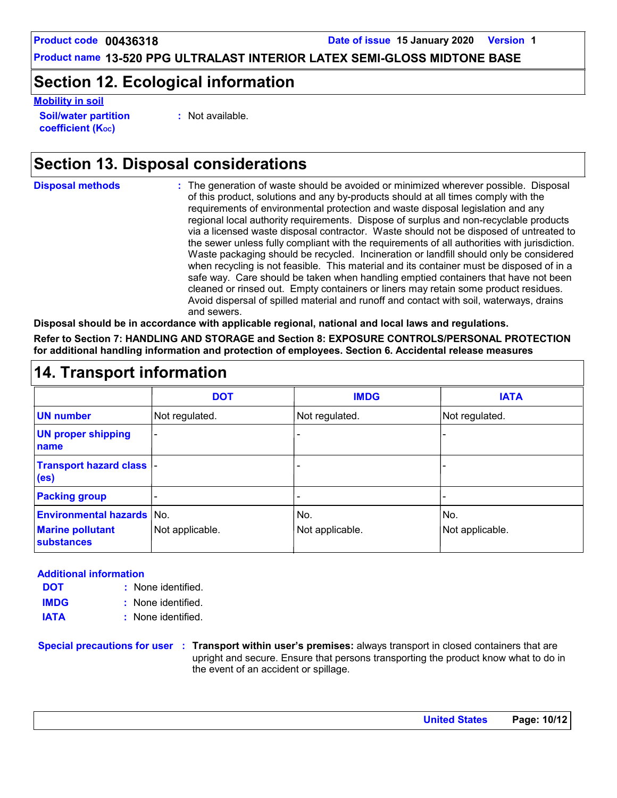### **Section 12. Ecological information**

**Mobility in soil**

**Soil/water partition coefficient (KOC)**

**:** Not available.

# **Section 13. Disposal considerations**

The generation of waste should be avoided or minimized wherever possible. Disposal of this product, solutions and any by-products should at all times comply with the requirements of environmental protection and waste disposal legislation and any regional local authority requirements. Dispose of surplus and non-recyclable products via a licensed waste disposal contractor. Waste should not be disposed of untreated to the sewer unless fully compliant with the requirements of all authorities with jurisdiction. Waste packaging should be recycled. Incineration or landfill should only be considered when recycling is not feasible. This material and its container must be disposed of in a safe way. Care should be taken when handling emptied containers that have not been cleaned or rinsed out. Empty containers or liners may retain some product residues. Avoid dispersal of spilled material and runoff and contact with soil, waterways, drains and sewers. **Disposal methods : Disposal should be in accordance with applicable regional, national and local laws and regulations.**

**Refer to Section 7: HANDLING AND STORAGE and Section 8: EXPOSURE CONTROLS/PERSONAL PROTECTION for additional handling information and protection of employees. Section 6. Accidental release measures**

|                                                | <b>DOT</b>      | <b>IMDG</b>     | <b>IATA</b>     |
|------------------------------------------------|-----------------|-----------------|-----------------|
| <b>UN number</b>                               | Not regulated.  | Not regulated.  | Not regulated.  |
| <b>UN proper shipping</b><br>name              |                 |                 |                 |
| Transport hazard class  -<br>(e <sub>s</sub> ) |                 |                 |                 |
| <b>Packing group</b>                           | ۰               | -               |                 |
| <b>Environmental hazards No.</b>               |                 | No.             | No.             |
| <b>Marine pollutant</b><br>substances          | Not applicable. | Not applicable. | Not applicable. |

### **Additional information**

- None identified. **: DOT**
- None identified. **: IMDG**

**IATA :** None identified.

**Special precautions for user Transport within user's premises:** always transport in closed containers that are **:** upright and secure. Ensure that persons transporting the product know what to do in the event of an accident or spillage.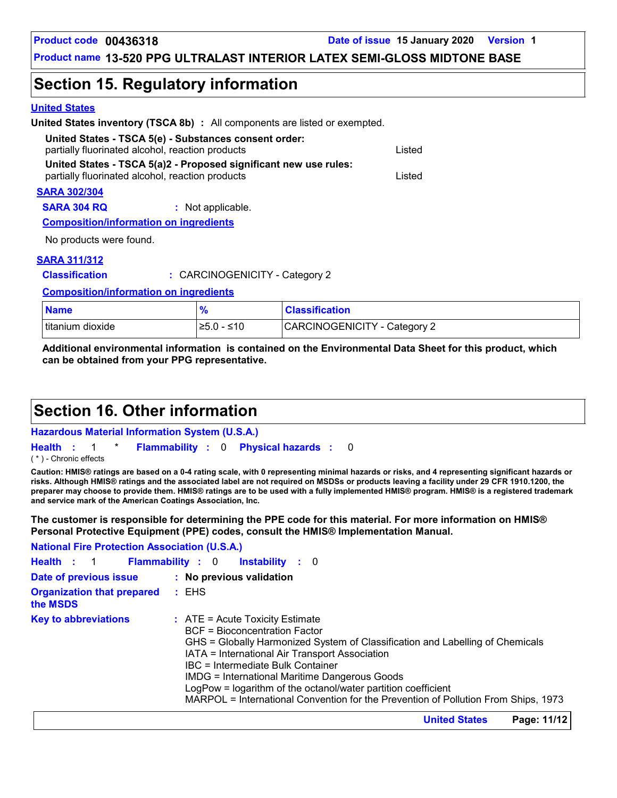### **Section 15. Regulatory information**

#### **United States**

| <b>United States inventory (TSCA 8b)</b> : All components are listed or exempted.                         |        |
|-----------------------------------------------------------------------------------------------------------|--------|
| United States - TSCA 5(e) - Substances consent order:<br>partially fluorinated alcohol, reaction products | Listed |
| United States - TSCA 5(a)2 - Proposed significant new use rules:                                          |        |
| partially fluorinated alcohol, reaction products                                                          | Listed |
| <b>SARA 302/304</b>                                                                                       |        |
| <b>SARA 304 RQ</b><br>: Not applicable.                                                                   |        |
| <b>Composition/information on ingredients</b>                                                             |        |
| المعارجة المعامرين والمستحدث والا                                                                         |        |

No products were found.

#### **SARA 311/312**

**Classification :** CARCINOGENICITY - Category 2

**Composition/information on ingredients**

| <b>Name</b>      |              | <b>Classification</b>        |
|------------------|--------------|------------------------------|
| titanium dioxide | $≥5.0 - ≤10$ | CARCINOGENICITY - Category 2 |

**Additional environmental information is contained on the Environmental Data Sheet for this product, which can be obtained from your PPG representative.**

### **Section 16. Other information**

#### **Hazardous Material Information System (U.S.A.)**

**Health** : 1 \* **Flammability** : 0 **Physical hazards** : 0 0 ( \* ) - Chronic effects

**Caution: HMIS® ratings are based on a 0-4 rating scale, with 0 representing minimal hazards or risks, and 4 representing significant hazards or risks. Although HMIS® ratings and the associated label are not required on MSDSs or products leaving a facility under 29 CFR 1910.1200, the preparer may choose to provide them. HMIS® ratings are to be used with a fully implemented HMIS® program. HMIS® is a registered trademark and service mark of the American Coatings Association, Inc.**

**The customer is responsible for determining the PPE code for this material. For more information on HMIS® Personal Protective Equipment (PPE) codes, consult the HMIS® Implementation Manual.**

| <b>National Fire Protection Association (U.S.A.)</b> |                                                                                                                                                                                                                                                                                                                                                                                                                                                                    |
|------------------------------------------------------|--------------------------------------------------------------------------------------------------------------------------------------------------------------------------------------------------------------------------------------------------------------------------------------------------------------------------------------------------------------------------------------------------------------------------------------------------------------------|
| Health : 1 Flammability : 0                          | <b>Instability</b> : 0                                                                                                                                                                                                                                                                                                                                                                                                                                             |
| Date of previous issue                               | : No previous validation                                                                                                                                                                                                                                                                                                                                                                                                                                           |
| <b>Organization that prepared</b><br>the MSDS        | : EHS                                                                                                                                                                                                                                                                                                                                                                                                                                                              |
| <b>Key to abbreviations</b>                          | $\therefore$ ATE = Acute Toxicity Estimate<br><b>BCF</b> = Bioconcentration Factor<br>GHS = Globally Harmonized System of Classification and Labelling of Chemicals<br>IATA = International Air Transport Association<br>IBC = Intermediate Bulk Container<br>IMDG = International Maritime Dangerous Goods<br>LogPow = logarithm of the octanol/water partition coefficient<br>MARPOL = International Convention for the Prevention of Pollution From Ships, 1973 |

**United States Page: 11/12**